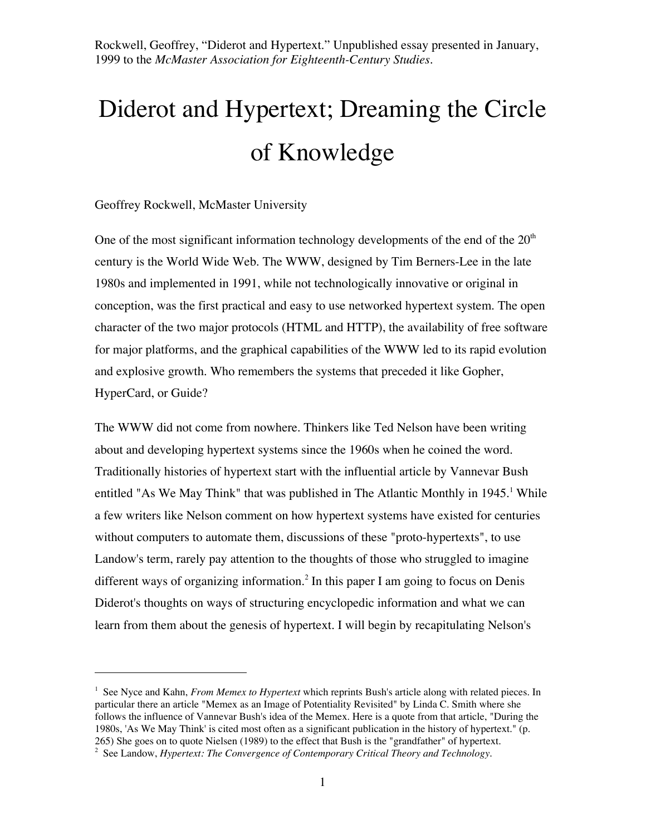# Diderot and Hypertext; Dreaming the Circle of Knowledge

#### Geoffrey Rockwell, McMaster University

 $\overline{a}$ 

One of the most significant information technology developments of the end of the  $20<sup>th</sup>$ century is the World Wide Web. The WWW, designed by Tim Berners-Lee in the late 1980s and implemented in 1991, while not technologically innovative or original in conception, was the first practical and easy to use networked hypertext system. The open character of the two major protocols (HTML and HTTP), the availability of free software for major platforms, and the graphical capabilities of the WWW led to its rapid evolution and explosive growth. Who remembers the systems that preceded it like Gopher, HyperCard, or Guide?

The WWW did not come from nowhere. Thinkers like Ted Nelson have been writing about and developing hypertext systems since the 1960s when he coined the word. Traditionally histories of hypertext start with the influential article by Vannevar Bush entitled "As We May Think" that was published in The Atlantic Monthly in 1945.<sup>1</sup> While a few writers like Nelson comment on how hypertext systems have existed for centuries without computers to automate them, discussions of these "proto-hypertexts", to use Landow's term, rarely pay attention to the thoughts of those who struggled to imagine different ways of organizing information.<sup>2</sup> In this paper I am going to focus on Denis Diderot's thoughts on ways of structuring encyclopedic information and what we can learn from them about the genesis of hypertext. I will begin by recapitulating Nelson's

<sup>&</sup>lt;sup>1</sup> See Nyce and Kahn, *From Memex to Hypertext* which reprints Bush's article along with related pieces. In particular there an article "Memex as an Image of Potentiality Revisited" by Linda C. Smith where she follows the influence of Vannevar Bush's idea of the Memex. Here is a quote from that article, "During the 1980s, 'As We May Think' is cited most often as a significant publication in the history of hypertext." (p. 265) She goes on to quote Nielsen (1989) to the effect that Bush is the "grandfather" of hypertext.

<sup>2</sup> See Landow, *Hypertext: The Convergence of Contemporary Critical Theory and Technology.*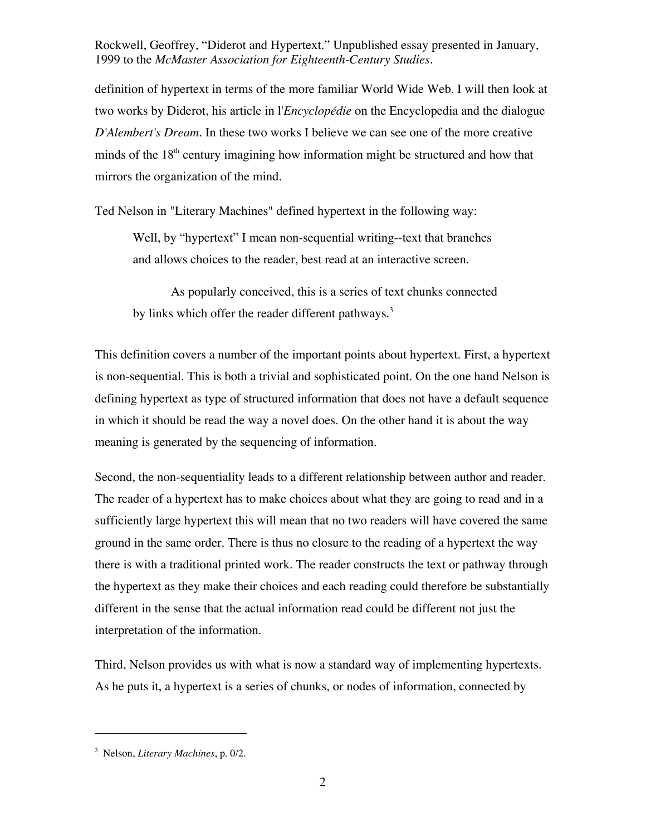definition of hypertext in terms of the more familiar World Wide Web. I will then look at two works by Diderot, his article in l'*Encyclopédie* on the Encyclopedia and the dialogue *D'Alembert's Dream*. In these two works I believe we can see one of the more creative minds of the  $18<sup>th</sup>$  century imagining how information might be structured and how that mirrors the organization of the mind.

Ted Nelson in "Literary Machines" defined hypertext in the following way:

Well, by "hypertext" I mean non-sequential writing--text that branches and allows choices to the reader, best read at an interactive screen.

As popularly conceived, this is a series of text chunks connected by links which offer the reader different pathways.<sup>3</sup>

This definition covers a number of the important points about hypertext. First, a hypertext is non-sequential. This is both a trivial and sophisticated point. On the one hand Nelson is defining hypertext as type of structured information that does not have a default sequence in which it should be read the way a novel does. On the other hand it is about the way meaning is generated by the sequencing of information.

Second, the non-sequentiality leads to a different relationship between author and reader. The reader of a hypertext has to make choices about what they are going to read and in a sufficiently large hypertext this will mean that no two readers will have covered the same ground in the same order. There is thus no closure to the reading of a hypertext the way there is with a traditional printed work. The reader constructs the text or pathway through the hypertext as they make their choices and each reading could therefore be substantially different in the sense that the actual information read could be different not just the interpretation of the information.

Third, Nelson provides us with what is now a standard way of implementing hypertexts. As he puts it, a hypertext is a series of chunks, or nodes of information, connected by

<sup>3</sup> Nelson, *Literary Machines*, p. 0/2.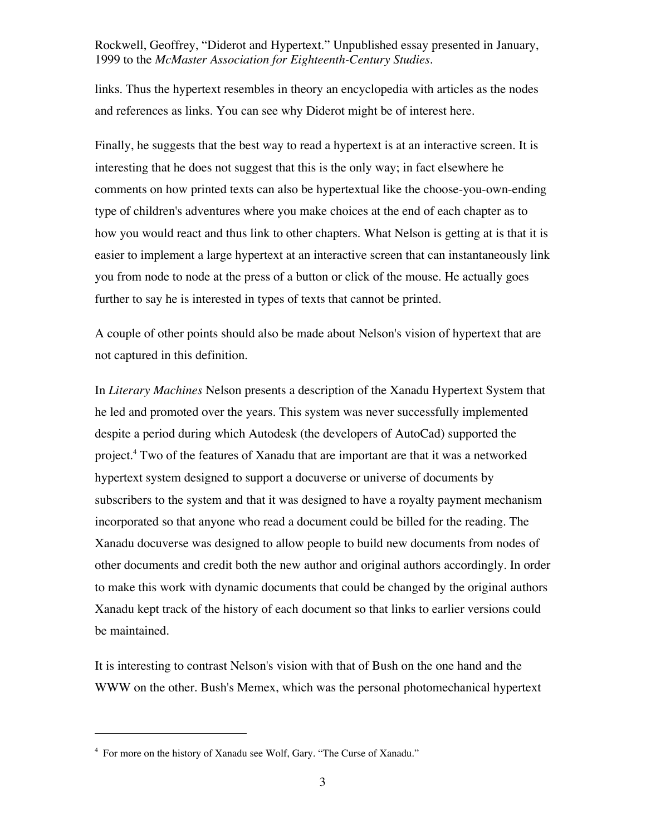links. Thus the hypertext resembles in theory an encyclopedia with articles as the nodes and references as links. You can see why Diderot might be of interest here.

Finally, he suggests that the best way to read a hypertext is at an interactive screen. It is interesting that he does not suggest that this is the only way; in fact elsewhere he comments on how printed texts can also be hypertextual like the choose-you-own-ending type of children's adventures where you make choices at the end of each chapter as to how you would react and thus link to other chapters. What Nelson is getting at is that it is easier to implement a large hypertext at an interactive screen that can instantaneously link you from node to node at the press of a button or click of the mouse. He actually goes further to say he is interested in types of texts that cannot be printed.

A couple of other points should also be made about Nelson's vision of hypertext that are not captured in this definition.

In *Literary Machines* Nelson presents a description of the Xanadu Hypertext System that he led and promoted over the years. This system was never successfully implemented despite a period during which Autodesk (the developers of AutoCad) supported the project.<sup>4</sup> Two of the features of Xanadu that are important are that it was a networked hypertext system designed to support a docuverse or universe of documents by subscribers to the system and that it was designed to have a royalty payment mechanism incorporated so that anyone who read a document could be billed for the reading. The Xanadu docuverse was designed to allow people to build new documents from nodes of other documents and credit both the new author and original authors accordingly. In order to make this work with dynamic documents that could be changed by the original authors Xanadu kept track of the history of each document so that links to earlier versions could be maintained.

It is interesting to contrast Nelson's vision with that of Bush on the one hand and the WWW on the other. Bush's Memex, which was the personal photomechanical hypertext

<sup>&</sup>lt;sup>4</sup> For more on the history of Xanadu see Wolf, Gary. "The Curse of Xanadu."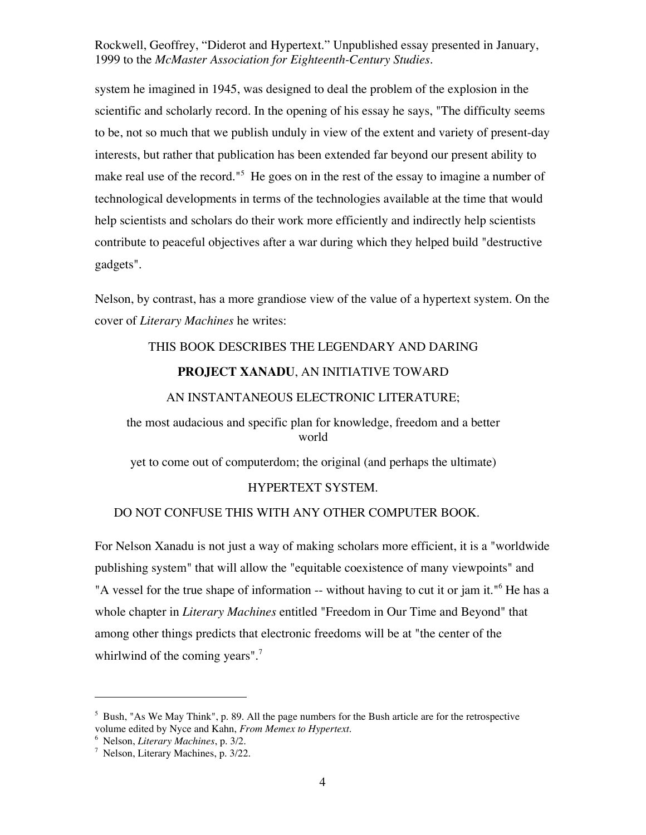system he imagined in 1945, was designed to deal the problem of the explosion in the scientific and scholarly record. In the opening of his essay he says, "The difficulty seems to be, not so much that we publish unduly in view of the extent and variety of present-day interests, but rather that publication has been extended far beyond our present ability to make real use of the record."<sup>5</sup> He goes on in the rest of the essay to imagine a number of technological developments in terms of the technologies available at the time that would help scientists and scholars do their work more efficiently and indirectly help scientists contribute to peaceful objectives after a war during which they helped build "destructive gadgets".

Nelson, by contrast, has a more grandiose view of the value of a hypertext system. On the cover of *Literary Machines* he writes:

### THIS BOOK DESCRIBES THE LEGENDARY AND DARING

#### **PROJECT XANADU**, AN INITIATIVE TOWARD

#### AN INSTANTANEOUS ELECTRONIC LITERATURE;

the most audacious and specific plan for knowledge, freedom and a better world

yet to come out of computerdom; the original (and perhaps the ultimate)

#### HYPERTEXT SYSTEM.

#### DO NOT CONFUSE THIS WITH ANY OTHER COMPUTER BOOK.

For Nelson Xanadu is not just a way of making scholars more efficient, it is a "worldwide publishing system" that will allow the "equitable coexistence of many viewpoints" and "A vessel for the true shape of information -- without having to cut it or jam it."<sup>6</sup> He has a whole chapter in *Literary Machines* entitled "Freedom in Our Time and Beyond" that among other things predicts that electronic freedoms will be at "the center of the whirlwind of the coming years".<sup>7</sup>

<sup>5</sup> Bush, "As We May Think", p. 89. All the page numbers for the Bush article are for the retrospective volume edited by Nyce and Kahn, *From Memex to Hypertext*.

<sup>6</sup> Nelson, *Literary Machines*, p. 3/2.

<sup>7</sup> Nelson, Literary Machines, p. 3/22.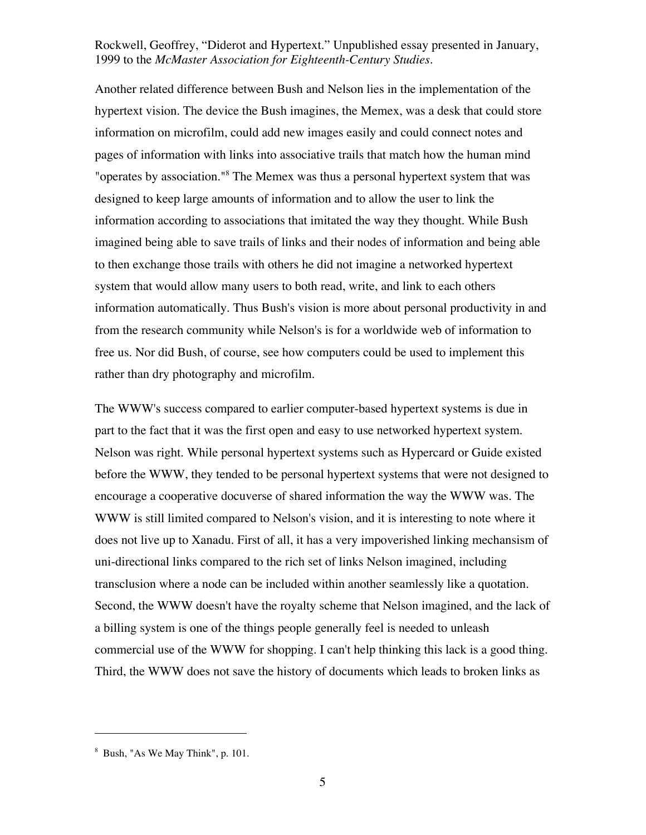Another related difference between Bush and Nelson lies in the implementation of the hypertext vision. The device the Bush imagines, the Memex, was a desk that could store information on microfilm, could add new images easily and could connect notes and pages of information with links into associative trails that match how the human mind "operates by association."<sup>8</sup> The Memex was thus a personal hypertext system that was designed to keep large amounts of information and to allow the user to link the information according to associations that imitated the way they thought. While Bush imagined being able to save trails of links and their nodes of information and being able to then exchange those trails with others he did not imagine a networked hypertext system that would allow many users to both read, write, and link to each others information automatically. Thus Bush's vision is more about personal productivity in and from the research community while Nelson's is for a worldwide web of information to free us. Nor did Bush, of course, see how computers could be used to implement this rather than dry photography and microfilm.

The WWW's success compared to earlier computer-based hypertext systems is due in part to the fact that it was the first open and easy to use networked hypertext system. Nelson was right. While personal hypertext systems such as Hypercard or Guide existed before the WWW, they tended to be personal hypertext systems that were not designed to encourage a cooperative docuverse of shared information the way the WWW was. The WWW is still limited compared to Nelson's vision, and it is interesting to note where it does not live up to Xanadu. First of all, it has a very impoverished linking mechansism of uni-directional links compared to the rich set of links Nelson imagined, including transclusion where a node can be included within another seamlessly like a quotation. Second, the WWW doesn't have the royalty scheme that Nelson imagined, and the lack of a billing system is one of the things people generally feel is needed to unleash commercial use of the WWW for shopping. I can't help thinking this lack is a good thing. Third, the WWW does not save the history of documents which leads to broken links as

<sup>8</sup> Bush, "As We May Think", p. 101.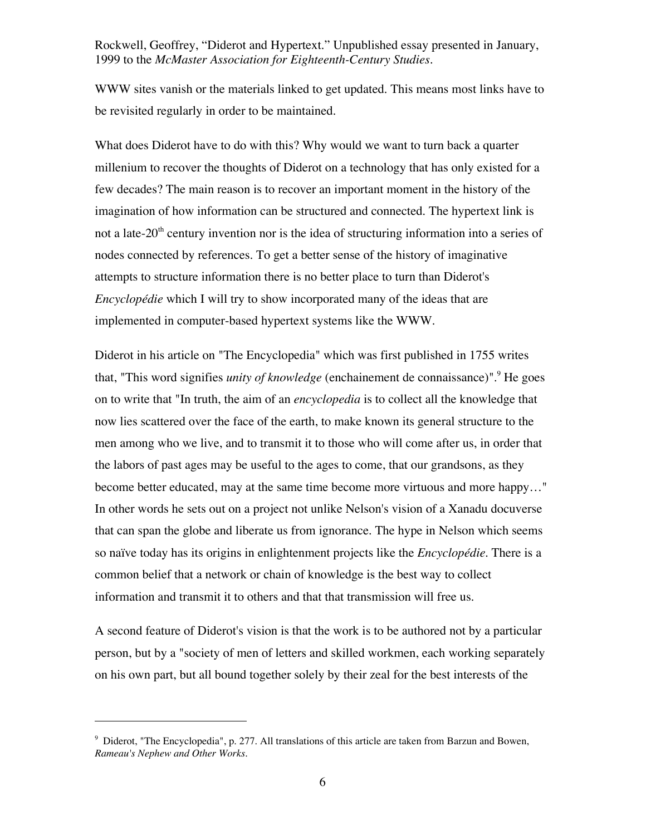WWW sites vanish or the materials linked to get updated. This means most links have to be revisited regularly in order to be maintained.

What does Diderot have to do with this? Why would we want to turn back a quarter millenium to recover the thoughts of Diderot on a technology that has only existed for a few decades? The main reason is to recover an important moment in the history of the imagination of how information can be structured and connected. The hypertext link is not a late- $20<sup>th</sup>$  century invention nor is the idea of structuring information into a series of nodes connected by references. To get a better sense of the history of imaginative attempts to structure information there is no better place to turn than Diderot's *Encyclopédie* which I will try to show incorporated many of the ideas that are implemented in computer-based hypertext systems like the WWW.

Diderot in his article on "The Encyclopedia" which was first published in 1755 writes that, "This word signifies *unity of knowledge* (enchainement de connaissance)".<sup>9</sup> He goes on to write that "In truth, the aim of an *encyclopedia* is to collect all the knowledge that now lies scattered over the face of the earth, to make known its general structure to the men among who we live, and to transmit it to those who will come after us, in order that the labors of past ages may be useful to the ages to come, that our grandsons, as they become better educated, may at the same time become more virtuous and more happy…" In other words he sets out on a project not unlike Nelson's vision of a Xanadu docuverse that can span the globe and liberate us from ignorance. The hype in Nelson which seems so naïve today has its origins in enlightenment projects like the *Encyclopédie*. There is a common belief that a network or chain of knowledge is the best way to collect information and transmit it to others and that that transmission will free us.

A second feature of Diderot's vision is that the work is to be authored not by a particular person, but by a "society of men of letters and skilled workmen, each working separately on his own part, but all bound together solely by their zeal for the best interests of the

<sup>&</sup>lt;sup>9</sup> Diderot, "The Encyclopedia", p. 277. All translations of this article are taken from Barzun and Bowen, *Rameau's Nephew and Other Works*.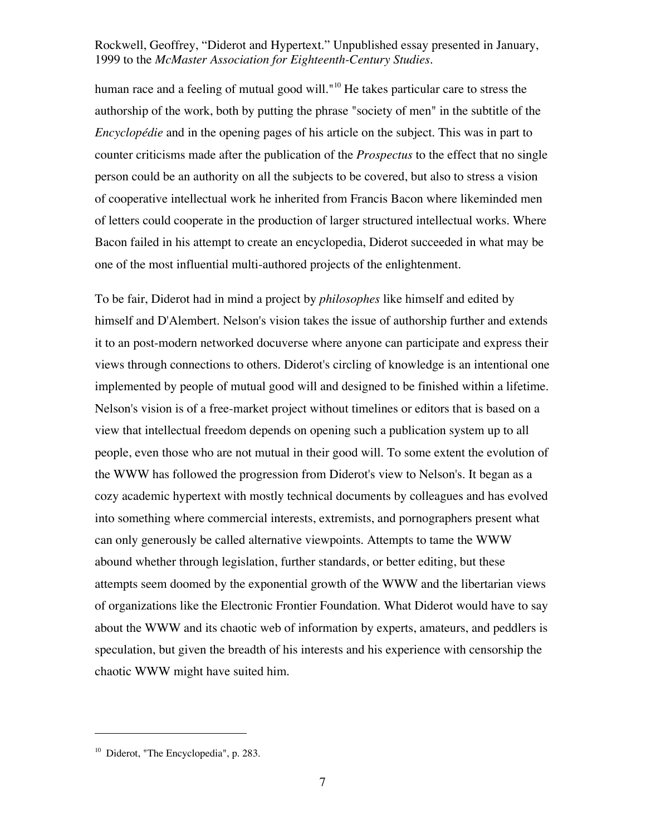human race and a feeling of mutual good will."<sup>10</sup> He takes particular care to stress the authorship of the work, both by putting the phrase "society of men" in the subtitle of the *Encyclopédie* and in the opening pages of his article on the subject. This was in part to counter criticisms made after the publication of the *Prospectus* to the effect that no single person could be an authority on all the subjects to be covered, but also to stress a vision of cooperative intellectual work he inherited from Francis Bacon where likeminded men of letters could cooperate in the production of larger structured intellectual works. Where Bacon failed in his attempt to create an encyclopedia, Diderot succeeded in what may be one of the most influential multi-authored projects of the enlightenment.

To be fair, Diderot had in mind a project by *philosophes* like himself and edited by himself and D'Alembert. Nelson's vision takes the issue of authorship further and extends it to an post-modern networked docuverse where anyone can participate and express their views through connections to others. Diderot's circling of knowledge is an intentional one implemented by people of mutual good will and designed to be finished within a lifetime. Nelson's vision is of a free-market project without timelines or editors that is based on a view that intellectual freedom depends on opening such a publication system up to all people, even those who are not mutual in their good will. To some extent the evolution of the WWW has followed the progression from Diderot's view to Nelson's. It began as a cozy academic hypertext with mostly technical documents by colleagues and has evolved into something where commercial interests, extremists, and pornographers present what can only generously be called alternative viewpoints. Attempts to tame the WWW abound whether through legislation, further standards, or better editing, but these attempts seem doomed by the exponential growth of the WWW and the libertarian views of organizations like the Electronic Frontier Foundation. What Diderot would have to say about the WWW and its chaotic web of information by experts, amateurs, and peddlers is speculation, but given the breadth of his interests and his experience with censorship the chaotic WWW might have suited him.

<sup>&</sup>lt;sup>10</sup> Diderot, "The Encyclopedia", p. 283.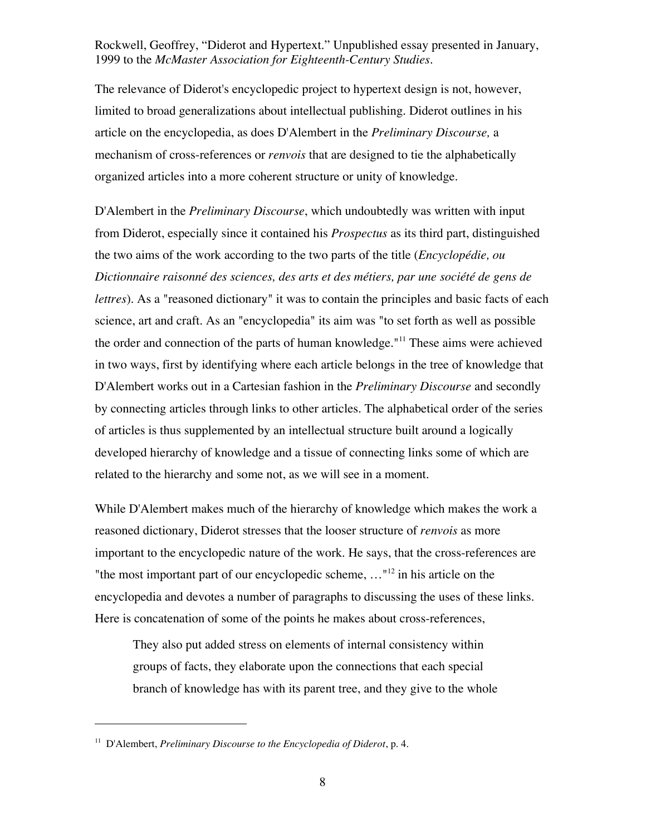The relevance of Diderot's encyclopedic project to hypertext design is not, however, limited to broad generalizations about intellectual publishing. Diderot outlines in his article on the encyclopedia, as does D'Alembert in the *Preliminary Discourse,* a mechanism of cross-references or *renvois* that are designed to tie the alphabetically organized articles into a more coherent structure or unity of knowledge.

D'Alembert in the *Preliminary Discourse*, which undoubtedly was written with input from Diderot, especially since it contained his *Prospectus* as its third part, distinguished the two aims of the work according to the two parts of the title (*Encyclopédie, ou Dictionnaire raisonné des sciences, des arts et des métiers, par une société de gens de lettres*). As a "reasoned dictionary" it was to contain the principles and basic facts of each science, art and craft. As an "encyclopedia" its aim was "to set forth as well as possible the order and connection of the parts of human knowledge."<sup>11</sup> These aims were achieved in two ways, first by identifying where each article belongs in the tree of knowledge that D'Alembert works out in a Cartesian fashion in the *Preliminary Discourse* and secondly by connecting articles through links to other articles. The alphabetical order of the series of articles is thus supplemented by an intellectual structure built around a logically developed hierarchy of knowledge and a tissue of connecting links some of which are related to the hierarchy and some not, as we will see in a moment.

While D'Alembert makes much of the hierarchy of knowledge which makes the work a reasoned dictionary, Diderot stresses that the looser structure of *renvois* as more important to the encyclopedic nature of the work. He says, that the cross-references are "the most important part of our encyclopedic scheme,  $\dots$ "<sup>12</sup> in his article on the encyclopedia and devotes a number of paragraphs to discussing the uses of these links. Here is concatenation of some of the points he makes about cross-references,

They also put added stress on elements of internal consistency within groups of facts, they elaborate upon the connections that each special branch of knowledge has with its parent tree, and they give to the whole

<sup>11</sup> D'Alembert, *Preliminary Discourse to the Encyclopedia of Diderot*, p. 4.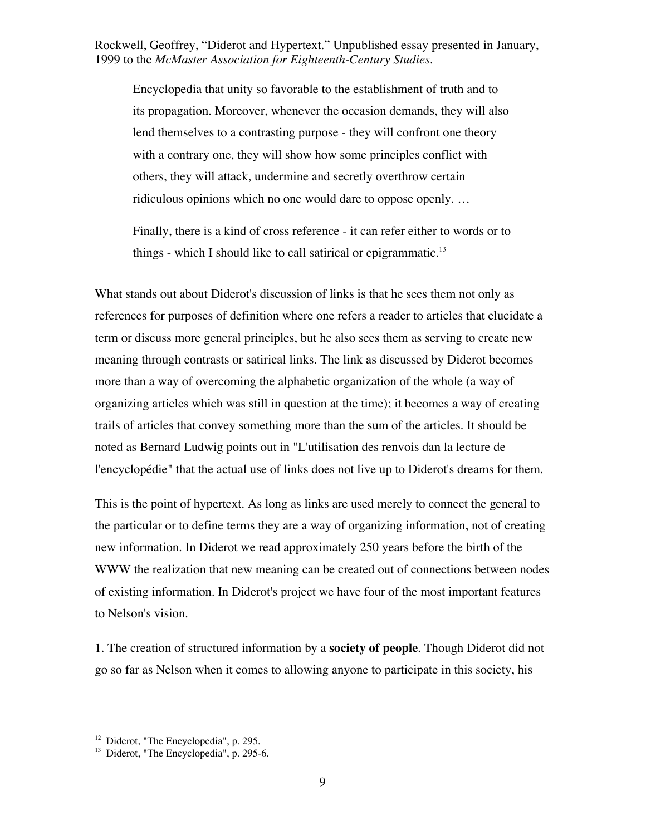Encyclopedia that unity so favorable to the establishment of truth and to its propagation. Moreover, whenever the occasion demands, they will also lend themselves to a contrasting purpose - they will confront one theory with a contrary one, they will show how some principles conflict with others, they will attack, undermine and secretly overthrow certain ridiculous opinions which no one would dare to oppose openly. …

Finally, there is a kind of cross reference - it can refer either to words or to things - which I should like to call satirical or epigrammatic.<sup>13</sup>

What stands out about Diderot's discussion of links is that he sees them not only as references for purposes of definition where one refers a reader to articles that elucidate a term or discuss more general principles, but he also sees them as serving to create new meaning through contrasts or satirical links. The link as discussed by Diderot becomes more than a way of overcoming the alphabetic organization of the whole (a way of organizing articles which was still in question at the time); it becomes a way of creating trails of articles that convey something more than the sum of the articles. It should be noted as Bernard Ludwig points out in "L'utilisation des renvois dan la lecture de l'encyclopédie" that the actual use of links does not live up to Diderot's dreams for them.

This is the point of hypertext. As long as links are used merely to connect the general to the particular or to define terms they are a way of organizing information, not of creating new information. In Diderot we read approximately 250 years before the birth of the WWW the realization that new meaning can be created out of connections between nodes of existing information. In Diderot's project we have four of the most important features to Nelson's vision.

1. The creation of structured information by a **society of people**. Though Diderot did not go so far as Nelson when it comes to allowing anyone to participate in this society, his

<sup>&</sup>lt;sup>12</sup> Diderot, "The Encyclopedia", p. 295.

<sup>&</sup>lt;sup>13</sup> Diderot, "The Encyclopedia", p. 295-6.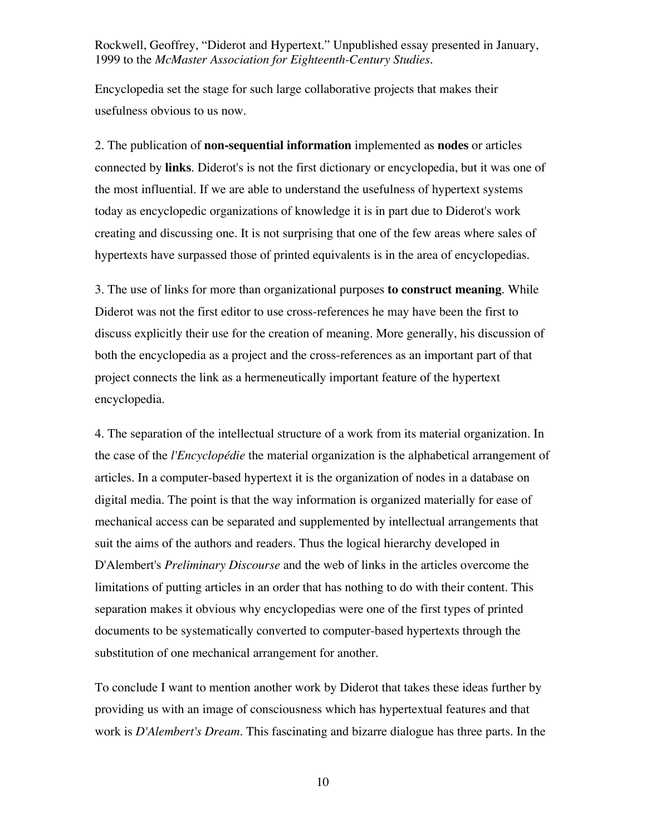Encyclopedia set the stage for such large collaborative projects that makes their usefulness obvious to us now.

2. The publication of **non-sequential information** implemented as **nodes** or articles connected by **links**. Diderot's is not the first dictionary or encyclopedia, but it was one of the most influential. If we are able to understand the usefulness of hypertext systems today as encyclopedic organizations of knowledge it is in part due to Diderot's work creating and discussing one. It is not surprising that one of the few areas where sales of hypertexts have surpassed those of printed equivalents is in the area of encyclopedias.

3. The use of links for more than organizational purposes **to construct meaning**. While Diderot was not the first editor to use cross-references he may have been the first to discuss explicitly their use for the creation of meaning. More generally, his discussion of both the encyclopedia as a project and the cross-references as an important part of that project connects the link as a hermeneutically important feature of the hypertext encyclopedia.

4. The separation of the intellectual structure of a work from its material organization. In the case of the *l'Encyclopédie* the material organization is the alphabetical arrangement of articles. In a computer-based hypertext it is the organization of nodes in a database on digital media. The point is that the way information is organized materially for ease of mechanical access can be separated and supplemented by intellectual arrangements that suit the aims of the authors and readers. Thus the logical hierarchy developed in D'Alembert's *Preliminary Discourse* and the web of links in the articles overcome the limitations of putting articles in an order that has nothing to do with their content. This separation makes it obvious why encyclopedias were one of the first types of printed documents to be systematically converted to computer-based hypertexts through the substitution of one mechanical arrangement for another.

To conclude I want to mention another work by Diderot that takes these ideas further by providing us with an image of consciousness which has hypertextual features and that work is *D'Alembert's Dream*. This fascinating and bizarre dialogue has three parts. In the

10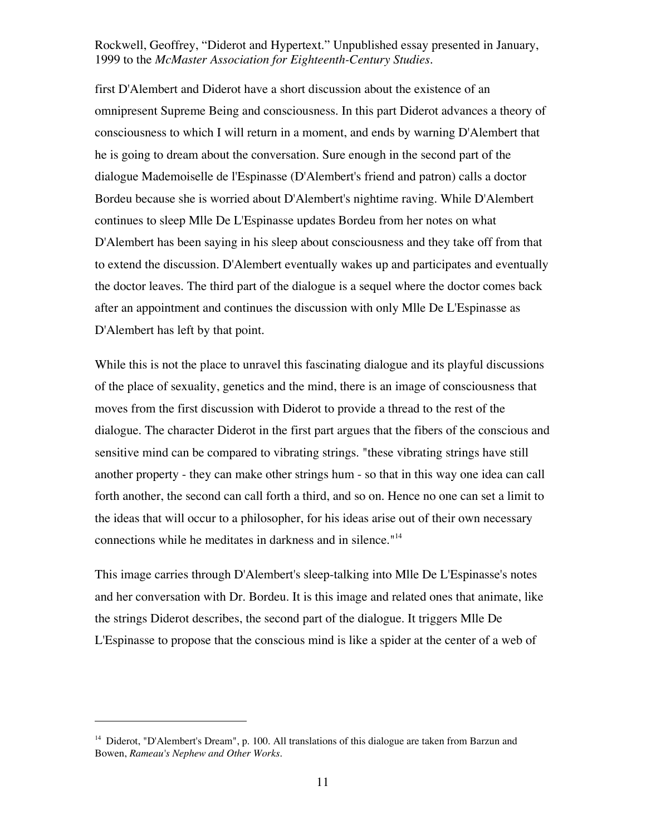first D'Alembert and Diderot have a short discussion about the existence of an omnipresent Supreme Being and consciousness. In this part Diderot advances a theory of consciousness to which I will return in a moment, and ends by warning D'Alembert that he is going to dream about the conversation. Sure enough in the second part of the dialogue Mademoiselle de l'Espinasse (D'Alembert's friend and patron) calls a doctor Bordeu because she is worried about D'Alembert's nightime raving. While D'Alembert continues to sleep Mlle De L'Espinasse updates Bordeu from her notes on what D'Alembert has been saying in his sleep about consciousness and they take off from that to extend the discussion. D'Alembert eventually wakes up and participates and eventually the doctor leaves. The third part of the dialogue is a sequel where the doctor comes back after an appointment and continues the discussion with only Mlle De L'Espinasse as D'Alembert has left by that point.

While this is not the place to unravel this fascinating dialogue and its playful discussions of the place of sexuality, genetics and the mind, there is an image of consciousness that moves from the first discussion with Diderot to provide a thread to the rest of the dialogue. The character Diderot in the first part argues that the fibers of the conscious and sensitive mind can be compared to vibrating strings. "these vibrating strings have still another property - they can make other strings hum - so that in this way one idea can call forth another, the second can call forth a third, and so on. Hence no one can set a limit to the ideas that will occur to a philosopher, for his ideas arise out of their own necessary connections while he meditates in darkness and in silence."14

This image carries through D'Alembert's sleep-talking into Mlle De L'Espinasse's notes and her conversation with Dr. Bordeu. It is this image and related ones that animate, like the strings Diderot describes, the second part of the dialogue. It triggers Mlle De L'Espinasse to propose that the conscious mind is like a spider at the center of a web of

<sup>&</sup>lt;sup>14</sup> Diderot, "D'Alembert's Dream", p. 100. All translations of this dialogue are taken from Barzun and Bowen, *Rameau's Nephew and Other Works*.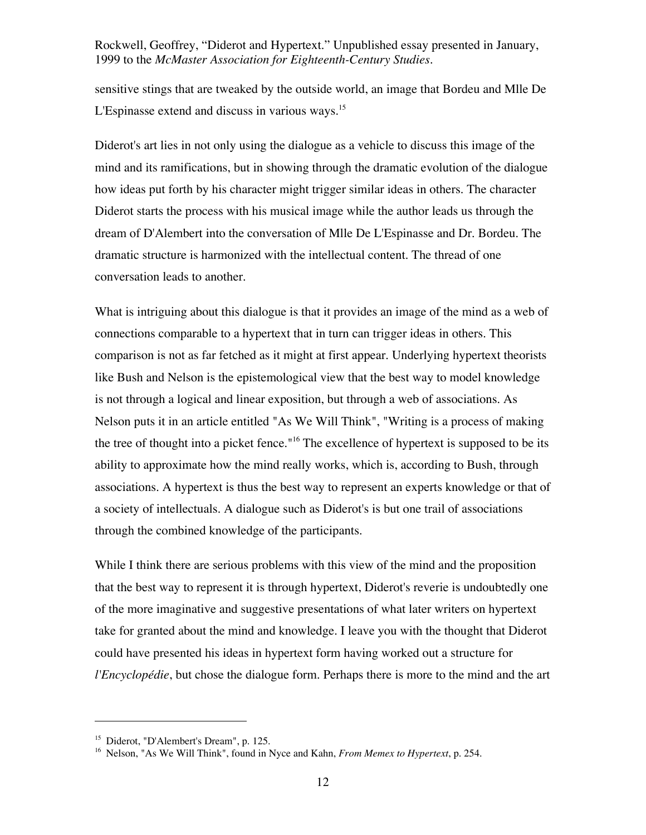sensitive stings that are tweaked by the outside world, an image that Bordeu and Mlle De L'Espinasse extend and discuss in various ways.<sup>15</sup>

Diderot's art lies in not only using the dialogue as a vehicle to discuss this image of the mind and its ramifications, but in showing through the dramatic evolution of the dialogue how ideas put forth by his character might trigger similar ideas in others. The character Diderot starts the process with his musical image while the author leads us through the dream of D'Alembert into the conversation of Mlle De L'Espinasse and Dr. Bordeu. The dramatic structure is harmonized with the intellectual content. The thread of one conversation leads to another.

What is intriguing about this dialogue is that it provides an image of the mind as a web of connections comparable to a hypertext that in turn can trigger ideas in others. This comparison is not as far fetched as it might at first appear. Underlying hypertext theorists like Bush and Nelson is the epistemological view that the best way to model knowledge is not through a logical and linear exposition, but through a web of associations. As Nelson puts it in an article entitled "As We Will Think", "Writing is a process of making the tree of thought into a picket fence."<sup>16</sup> The excellence of hypertext is supposed to be its ability to approximate how the mind really works, which is, according to Bush, through associations. A hypertext is thus the best way to represent an experts knowledge or that of a society of intellectuals. A dialogue such as Diderot's is but one trail of associations through the combined knowledge of the participants.

While I think there are serious problems with this view of the mind and the proposition that the best way to represent it is through hypertext, Diderot's reverie is undoubtedly one of the more imaginative and suggestive presentations of what later writers on hypertext take for granted about the mind and knowledge. I leave you with the thought that Diderot could have presented his ideas in hypertext form having worked out a structure for *l'Encyclopédie*, but chose the dialogue form. Perhaps there is more to the mind and the art

<sup>15</sup> Diderot, "D'Alembert's Dream", p. 125.

<sup>&</sup>lt;sup>16</sup> Nelson, "As We Will Think", found in Nyce and Kahn, *From Memex to Hypertext*, p. 254.